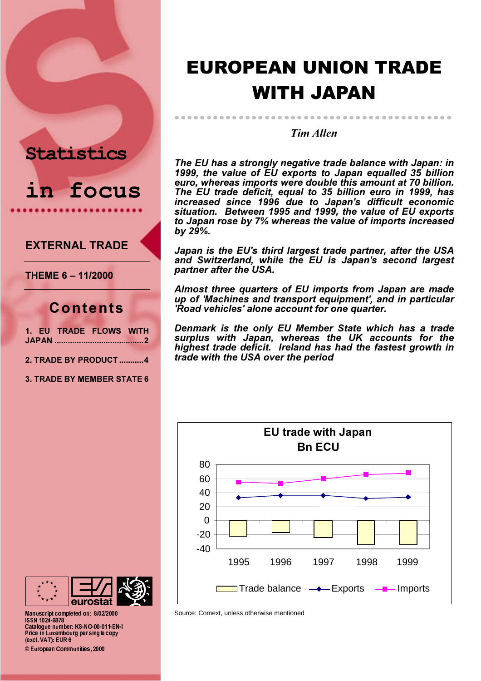## **Statistics**

in focus

## **FXTERNAI TRADE**

THEME 6 - 11/2000

## Contents

|  | 1. EU TRADE FLOWS WITH |  |
|--|------------------------|--|
|  |                        |  |
|  |                        |  |

- 2. TRADE BY PRODUCT ..........4
- **3. TRADE BY MEMBER STATE 6**

# **EUROPEAN UNION TRADE WITH JAPAN**

**Tim Allen** 

The EU has a strongly negative trade balance with Japan: in 1999, the value of EU exports to Japan equalled 35 billion euro, whereas imports were double this amount at 70 billion. The EU trade deficit, equal to 35 billion euro in 1999, has increased since 1996 due to Japan's difficult economic situation. Between 1995 and 1999, the value of EU exports to Japan rose by 7% whereas the value of imports increased by 29%.

Japan is the EU's third largest trade partner, after the USA and Switzerland, while the EU is Japan's second largest partner after the USA.

Almost three quarters of EU imports from Japan are made up of 'Machines and transport equipment', and in particular 'Road vehicles' alone account for one quarter.

Denmark is the only EU Member State which has a trade surplus with Japan, whereas the UK accounts for the<br>highest trade deficit. Ireland has had the fastest growth in trade with the USA over the period





Manuscript completed on: 8/02/2000 **ISSN 1024 6878** Catalogue number: KS-NO-00-011-EN-I Price in Luxembourg per single copy (excl. VAT). EUR 6 © European Communities, 2000

Source: Comext, unless otherwise mentioned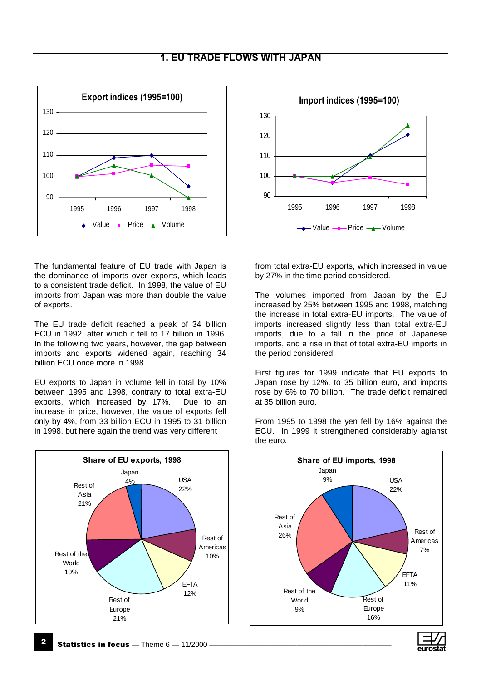

The fundamental feature of EU trade with Japan is the dominance of imports over exports, which leads to a consistent trade deficit. In 1998, the value of EU imports from Japan was more than double the value of exports.

The EU trade deficit reached a peak of 34 billion ECU in 1992, after which it fell to 17 billion in 1996. In the following two years, however, the gap between imports and exports widened again, reaching 34 billion ECU once more in 1998.

EU exports to Japan in volume fell in total by 10% between 1995 and 1998, contrary to total extra-EU exports, which increased by 17%. Due to an increase in price, however, the value of exports fell only by 4%, from 33 billion ECU in 1995 to 31 billion in 1998, but here again the trend was very different





from total extra-EU exports, which increased in value by 27% in the time period considered.

The volumes imported from Japan by the EU increased by 25% between 1995 and 1998, matching the increase in total extra-EU imports. The value of imports increased slightly less than total extra-EU imports, due to a fall in the price of Japanese imports, and a rise in that of total extra-EU imports in the period considered.

First figures for 1999 indicate that EU exports to Japan rose by 12%, to 35 billion euro, and imports rose by 6% to 70 billion. The trade deficit remained at 35 billion euro.

From 1995 to 1998 the yen fell by 16% against the ECU. In 1999 it strengthened considerably agianst the euro.

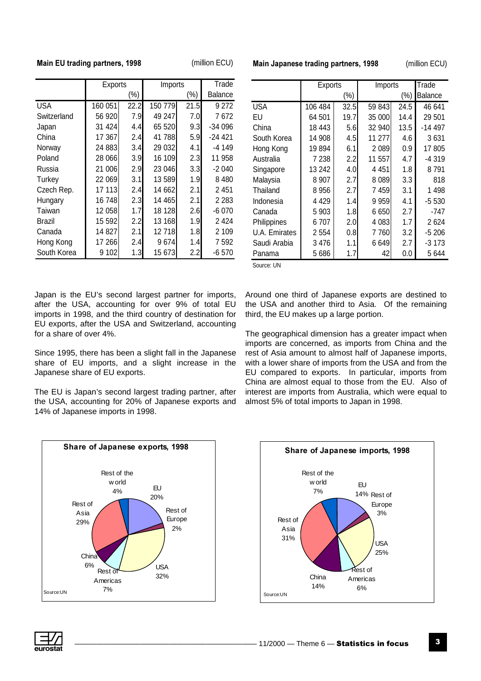### Main EU trading partners, 1998

(million ECU)

|             | <b>Exports</b> |                  | Imports |         | Trade    |
|-------------|----------------|------------------|---------|---------|----------|
|             |                | (%)              |         | $(\% )$ | Balance  |
| <b>USA</b>  | 160 051        | 22.2             | 150 779 | 21.5    | 9 2 7 2  |
| Switzerland | 56 920         | 7.9I             | 49 247  | 7.0     | 7672     |
| Japan       | 31 424         | 4.4              | 65 520  | 9.31    | -34 096  |
| China       | 17 367         | 2.4              | 41788   | 5.9     | $-24421$ |
| Norway      | 24 883         | 3.4              | 29 032  | 4.1     | -4 149   |
| Poland      | 28 066         | 3.9              | 16 109  | 2.3     | 11 958   |
| Russia      | 21 006         | 2.9              | 23 046  | 3.3     | $-2040$  |
| Turkey      | 22 069         | 3.1              | 13589   | 1.9     | 8480     |
| Czech Rep.  | 17 113         | 2.4              | 14 662  | 2.1     | 2 4 5 1  |
| Hungary     | 16748          | 2.3 <sub>l</sub> | 14 465  | 2.1     | 2 2 8 3  |
| Taiwan      | 12 058         | 1.7 <sub>l</sub> | 18 128  | 2.6     | $-6070$  |
| Brazil      | 15 592         | 2.2 <sub>l</sub> | 13 168  | 1.9     | 2424     |
| Canada      | 14827          | 2.1              | 12718   | 1.8     | 2 109    |
| Hong Kong   | 17 266         | 2.4              | 9674    | 1.4     | 7 592    |
| South Korea | 9 102          | 1.3              | 15 673  | 2.2     | -6 570   |

Main Japanese trading partners, 1998

(million ECU)

|               | Exports |      | Imports |      | Trade          |  |
|---------------|---------|------|---------|------|----------------|--|
|               |         | (%)  | $(\% )$ |      | <b>Balance</b> |  |
| <b>USA</b>    | 106 484 | 32.5 | 59 843  | 24.5 | 46 641         |  |
| EU            | 64 501  | 19.7 | 35 000  | 14.4 | 29 501         |  |
| China         | 18 443  | 5.6  | 32 940  | 13.5 | -14 497        |  |
| South Korea   | 14 908  | 4.5  | 11 277  | 4.6  | 3631           |  |
| Hong Kong     | 19 894  | 6.1  | 2089    | 0.9  | 17 805         |  |
| Australia     | 7 238   | 2.2  | 11 557  | 4.7  | -4 319         |  |
| Singapore     | 13 242  | 4.0  | 4 4 5 1 | 1.8  | 8791           |  |
| Malaysia      | 8907    | 2.7  | 8089    | 3.3  | 818            |  |
| Thailand      | 8956    | 2.7  | 7459    | 3.1  | 1498           |  |
| Indonesia     | 4 4 2 9 | 1.4  | 9959    | 4.1  | $-5530$        |  |
| Canada        | 5903    | 1.8  | 6650    | 2.7  | -747           |  |
| Philippines   | 6707    | 2.0  | 4 0 8 3 | 1.7  | 2624           |  |
| U.A. Emirates | 2 5 5 4 | 0.8  | 7760    | 3.2  | $-5206$        |  |
| Saudi Arabia  | 3476    | 1.1  | 6649    | 2.7  | -3 173         |  |
| Panama        | 5686    | 1.7  | 42      | 0.0  | 5 644          |  |

Source: UN

Japan is the EU's second largest partner for imports, after the USA, accounting for over 9% of total EU imports in 1998, and the third country of destination for EU exports, after the USA and Switzerland, accounting for a share of over 4%.

Since 1995, there has been a slight fall in the Japanese share of EU imports, and a slight increase in the Japanese share of EU exports.

The EU is Japan's second largest trading partner, after the USA, accounting for 20% of Japanese exports and 14% of Japanese imports in 1998.



The geographical dimension has a greater impact when imports are concerned, as imports from China and the rest of Asia amount to almost half of Japanese imports, with a lower share of imports from the USA and from the EU compared to exports. In particular, imports from China are almost equal to those from the EU. Also of interest are imports from Australia, which were equal to almost 5% of total imports to Japan in 1998.



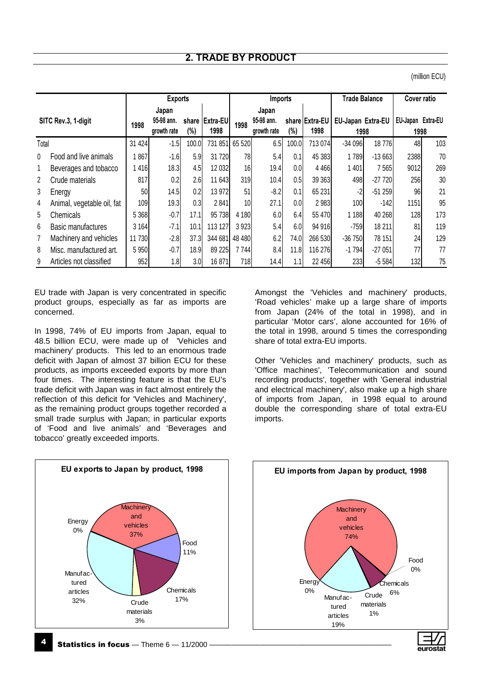(million ECU)

|                |                            |         | <b>Exports</b> |       |                  |          | Imports     |       |                | <b>Trade Balance</b> |          | <b>Cover ratio</b> |     |
|----------------|----------------------------|---------|----------------|-------|------------------|----------|-------------|-------|----------------|----------------------|----------|--------------------|-----|
|                |                            |         | Japan          |       |                  |          | Japan       |       |                |                      |          |                    |     |
|                | SITC Rev.3, 1-digit        |         | 95-98 ann.     | share | <b>IExtra-EU</b> | 1998     | 95-98 ann.  |       | share Extra-EU | EU-Japan Extra-EU    |          | EU-Japan Extra-EU  |     |
|                |                            | 1998    | growth rate    | (%)   | 1998             |          | growth rate | (%)   | 1998           | 1998                 |          | 1998               |     |
| Total          |                            | 31 4 24 | $-1.5$         | 100.0 | 731 851          | 65 5 20  | 6.5         | 100.0 | 713 074        | $-34096$             | 18776    | 48                 | 103 |
| $\mathbf 0$    | Food and live animals      | 867     | $-1.6$         | 5.9   | 31 720           | 78       | 5.4         | 0.1   | 45 383         | 1789                 | $-13663$ | 2388               | 70  |
| 1              | Beverages and tobacco      | 416     | 18.3           | 4.5   | 12 0 32          | 16       | 19.4        | 0.0   | 4 4 6 6        | 1 401                | 7565     | 9012               | 269 |
| $\overline{2}$ | Crude materials            | 817     | 0.2            | 2.6   | 11 643           | 319      | 10.4        | 0.5   | 39 363         | 498                  | -27 720  | 256                | 30  |
| 3              | Energy                     | 50      | 14.5           | 0.2   | 13 972           | 51       | $-8.2$      | 0.1   | 65 231         | $-2$                 | $-51259$ | 96                 | 21  |
| 4              | Animal, vegetable oil, fat | 109     | 19.3           | 0.3   | 2841             | 10       | 27.1        | 0.0   | 2 9 8 3        | 100                  | $-142$   | 1151               | 95  |
| 5              | Chemicals                  | 5 3 6 8 | $-0.7$         | 17.1  | 95 738           | 4 180    | 6.0         | 6.4   | 55 470         | 1 1 8 8              | 40 268   | 128                | 173 |
| 6              | Basic manufactures         | 3 1 64  | $-7.1$         | 10.1  | 113 127          | 3923     | 5.4         | 6.0   | 94 916         | $-759$               | 18 211   | 81                 | 119 |
| 7              | Machinery and vehicles     | 11 730  | $-2.8$         | 37.3  | 344 681          | 48 4 8 0 | 6.2         | 74.0  | 266 530        | $-36750$             | 78 151   | 24                 | 129 |
| 8              | Misc. manufactured art.    | 5 9 5 0 | $-0.7$         | 18.9  | 89 225           | 7744     | 8.4         | 11.8  | 116 276        | $-1794$              | $-27051$ | 77                 | 77  |
| 9              | Articles not classified    | 952     | 1.8            | 3.0   | 16871            | 718      | 14.4        | 1.1   | 22 456         | 233                  | $-5584$  | 132                | 75  |

EU trade with Japan is very concentrated in specific product groups, especially as far as imports are concerned.

In 1998, 74% of EU imports from Japan, equal to 48.5 billion ECU, were made up of 'Vehicles and machinery' products. This led to an enormous trade deficit with Japan of almost 37 billion ECU for these products, as imports exceeded exports by more than four times. The interesting feature is that the EU's trade deficit with Japan was in fact almost entirely the reflection of this deficit for 'Vehicles and Machinery', as the remaining product groups together recorded a small trade surplus with Japan; in particular exports of 'Food and live animals' and 'Beverages and tobacco' greatly exceeded imports.

Amongst the 'Vehicles and machinery' products, 'Road vehicles' make up a large share of imports from Japan (24% of the total in 1998), and in particular 'Motor cars', alone accounted for 16% of the total in 1998, around 5 times the corresponding share of total extra-EU imports.

Other 'Vehicles and machinery' products, such as 'Office machines', 'Telecommunication and sound recording products', together with 'General industrial and electrical machinery', also make up a high share of imports from Japan, in 1998 equal to around double the corresponding share of total extra-EU imports.



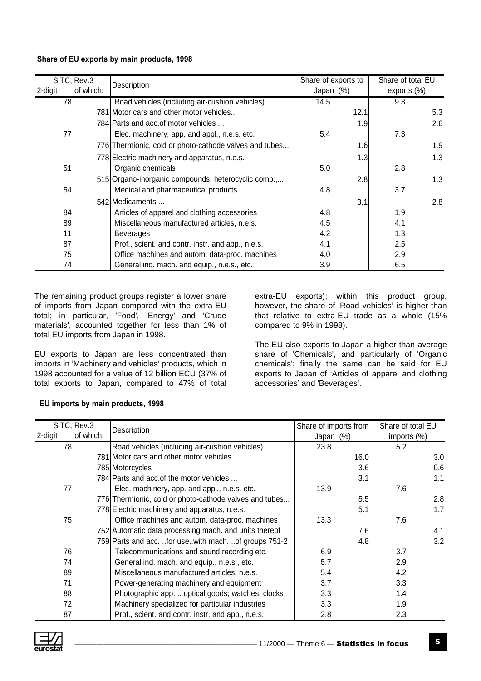### Share of EU exports by main products, 1998

| 2-digit | SITC, Rev.3<br>of which: | Description                                            | Share of exports to<br>Japan (%) | Share of total EU<br>exports $(\%)$ |
|---------|--------------------------|--------------------------------------------------------|----------------------------------|-------------------------------------|
|         | 78                       | Road vehicles (including air-cushion vehicles)         | 14.5                             | 9.3                                 |
|         |                          | 781 Motor cars and other motor vehicles                | 12.1                             | 5.3                                 |
|         |                          | 784 Parts and acc. of motor vehicles                   | 1.9                              | 2.6                                 |
|         | 77                       | Elec. machinery, app. and appl., n.e.s. etc.           | 5.4                              | 7.3                                 |
|         |                          | 776 Thermionic, cold or photo-cathode valves and tubes | 1.6                              | 1.9                                 |
|         |                          | 778 Electric machinery and apparatus, n.e.s.           | 1.3                              | 1.3                                 |
|         | 51                       | Organic chemicals                                      | 5.0                              | 2.8                                 |
|         |                          | 515 Organo-inorganic compounds, heterocyclic comp.,    | 2.8                              | 1.3                                 |
|         | 54                       | Medical and pharmaceutical products                    | 4.8                              | 3.7                                 |
|         |                          | 542 Medicaments                                        | 3.1                              | 2.8                                 |
|         | 84                       | Articles of apparel and clothing accessories           | 4.8                              | 1.9                                 |
|         | 89                       | Miscellaneous manufactured articles, n.e.s.            | 4.5                              | 4.1                                 |
|         | 11                       | <b>Beverages</b>                                       | 4.2                              | 1.3                                 |
|         | 87                       | Prof., scient. and contr. instr. and app., n.e.s.      | 4.1                              | 2.5                                 |
|         | 75                       | Office machines and autom. data-proc. machines         | 4.0                              | 2.9                                 |
|         | 74                       | General ind. mach. and equip., n.e.s., etc.            | 3.9                              | 6.5                                 |

The remaining product groups register a lower share of imports from Japan compared with the extra-EU total; in particular, 'Food', 'Energy' and 'Crude materials', accounted together for less than 1% of total EU imports from Japan in 1998.

EU exports to Japan are less concentrated than imports in 'Machinery and vehicles' products, which in 1998 accounted for a value of 12 billion ECU (37% of total exports to Japan, compared to 47% of total

extra-EU exports); within this product group, however, the share of 'Road vehicles' is higher than that relative to extra-EU trade as a whole (15% compared to 9% in 1998).

The EU also exports to Japan a higher than average share of 'Chemicals', and particularly of 'Organic chemicals'; finally the same can be said for EU exports to Japan of 'Articles of apparel and clothing accessories' and 'Beverages'.

| SITC, Rev.3 |           | Description                                            | Share of imports from | Share of total EU |  |
|-------------|-----------|--------------------------------------------------------|-----------------------|-------------------|--|
| 2-digit     | of which: |                                                        | Japan (%)             | imports (%)       |  |
| 78          |           | Road vehicles (including air-cushion vehicles)         | 23.8                  | 5.2               |  |
|             |           | 781 Motor cars and other motor vehicles                | 16.0                  | 3.0               |  |
|             |           | 785 Motorcycles                                        | 3.6                   | 0.6               |  |
|             |           | 784 Parts and acc. of the motor vehicles               | 3.1                   | 1.1               |  |
| 77          |           | Elec. machinery, app. and appl., n.e.s. etc.           | 13.9                  | 7.6               |  |
|             |           | 776 Thermionic, cold or photo-cathode valves and tubes | 5.5                   | 2.8               |  |
|             |           | 778 Electric machinery and apparatus, n.e.s.           | 5.1                   | 1.7               |  |
| 75          |           | Office machines and autom. data-proc. machines         | 13.3                  | 7.6               |  |
|             |           | 752 Automatic data processing mach. and units thereof  | 7.6                   | 4.1               |  |
|             |           | 759 Parts and acc. for usewith mach. of groups 751-2   | 4.8                   | 3.2               |  |
| 76          |           | Telecommunications and sound recording etc.            | 6.9                   | 3.7               |  |
| 74          |           | General ind. mach. and equip., n.e.s., etc.            | 5.7                   | 2.9               |  |
| 89          |           | Miscellaneous manufactured articles, n.e.s.            | 5.4                   | 4.2               |  |
| 71          |           | Power-generating machinery and equipment               | 3.7                   | 3.3               |  |
| 88          |           | Photographic app.  optical goods; watches, clocks      | 3.3                   | 1.4               |  |
| 72          |           | Machinery specialized for particular industries        | 3.3                   | 1.9               |  |
| 87          |           | Prof., scient. and contr. instr. and app., n.e.s.      | 2.8                   | 2.3               |  |

## EU imports by main products, 1998

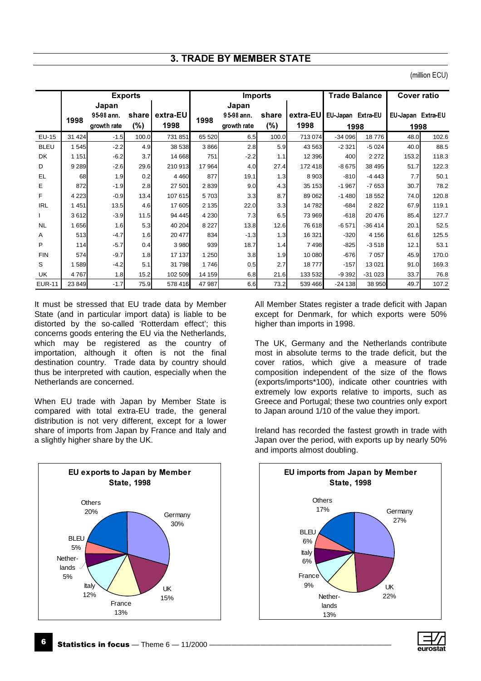## **3. TRADE BY MEMBER STATE**

|               |         |             | <b>Exports</b> |          |         | <b>Imports</b> |        |          | <b>Trade Balance</b> |          | <b>Cover ratio</b> |       |
|---------------|---------|-------------|----------------|----------|---------|----------------|--------|----------|----------------------|----------|--------------------|-------|
|               |         | Japan       |                |          |         | Japan          |        |          |                      |          |                    |       |
|               | 1998    | 95-98 ann.  | share          | extra-EU | 1998    | 95-98 ann.     | share  | extra-EU | EU Japan Extra-EU    |          | EU-Japan Extra-EU  |       |
|               |         | growth rate | (%)            | 1998     |         | growth rate    | $(\%)$ | 1998     | 1998                 |          | 1998               |       |
| EU-15         | 31 4 24 | $-1.5$      | 100.0          | 731 851  | 65 520  | 6.5            | 100.0  | 713 074  | $-34096$             | 18776    | 48.0               | 102.6 |
| <b>BLEU</b>   | 1545    | $-2.2$      | 4.9            | 38 538   | 3866    | 2.8            | 5.9    | 43 5 63  | $-2321$              | $-5024$  | 40.0               | 88.5  |
| DK            | 1 1 5 1 | $-6.2$      | 3.7            | 14 668   | 751     | $-2.2$         | 1.1    | 12 3 9 6 | 400                  | 2 2 7 2  | 153.2              | 118.3 |
| D             | 9 2 8 9 | $-2.6$      | 29.6           | 210 913  | 17 964  | 4.0            | 27.4   | 172 418  | $-8675$              | 38 495   | 51.7               | 122.3 |
| EL            | 68      | 1.9         | 0.2            | 4 4 6 0  | 877     | 19.1           | 1.3    | 8 9 0 3  | $-810$               | $-443$   | 7.7                | 50.1  |
| E             | 872     | $-1.9$      | 2.8            | 27 501   | 2839    | 9.0            | 4.3    | 35 153   | $-1967$              | $-7653$  | 30.7               | 78.2  |
| F             | 4 2 2 3 | $-0.9$      | 13.4           | 107 615  | 5703    | 3.3            | 8.7    | 89 062   | $-1480$              | 18 5 52  | 74.0               | 120.8 |
| <b>IRL</b>    | 1 4 5 1 | 13.5        | 4.6            | 17 605   | 2 1 3 5 | 22.0           | 3.3    | 14782    | $-684$               | 2822     | 67.9               | 119.1 |
|               | 3612    | $-3.9$      | 11.5           | 94 445   | 4 2 3 0 | 7.3            | 6.5    | 73 969   | $-618$               | 20 476   | 85.4               | 127.7 |
| <b>NL</b>     | 1656    | 1.6         | 5.3            | 40 204   | 8 2 2 7 | 13.8           | 12.6   | 76 618   | $-6571$              | $-36414$ | 20.1               | 52.5  |
| A             | 513     | $-4.7$      | 1.6            | 20 477   | 834     | $-1.3$         | 1.3    | 16 321   | $-320$               | 4 1 5 6  | 61.6               | 125.5 |
| P             | 114     | $-5.7$      | 0.4            | 3 9 8 0  | 939     | 18.7           | 1.4    | 7498     | $-825$               | $-3518$  | 12.1               | 53.1  |
| <b>FIN</b>    | 574     | $-9.7$      | 1.8            | 17 137   | 1 2 5 0 | 3.8            | 1.9    | 10 080   | $-676$               | 7 0 5 7  | 45.9               | 170.0 |
| S             | 1589    | $-4.2$      | 5.1            | 31 798   | 1746    | 0.5            | 2.7    | 18777    | $-157$               | 13 0 21  | 91.0               | 169.3 |
| UK.           | 4767    | 1.8         | 15.2           | 102 509  | 14 159  | 6.8            | 21.6   | 133 532  | $-9392$              | $-31023$ | 33.7               | 76.8  |
| <b>EUR-11</b> | 23 849  | $-1.7$      | 75.9           | 578 416  | 47 987  | 6.6            | 73.2   | 539 466  | $-24138$             | 38 950   | 49.7               | 107.2 |

It must be stressed that EU trade data by Member State (and in particular import data) is liable to be distorted by the so-called 'Rotterdam effect'; this concerns goods entering the EU via the Netherlands, which may be registered as the country of importation, although it often is not the final destination country. Trade data by country should thus be interpreted with caution, especially when the Netherlands are concerned.

When EU trade with Japan by Member State is compared with total extra-EU trade, the general distribution is not very different, except for a lower share of imports from Japan by France and Italy and a slightly higher share by the UK.



All Member States register a trade deficit with Japan except for Denmark, for which exports were 50% higher than imports in 1998.

The UK, Germany and the Netherlands contribute most in absolute terms to the trade deficit, but the cover ratios, which give a measure of trade composition independent of the size of the flows (exports/imports\*100), indicate other countries with extremely low exports relative to imports, such as Greece and Portugal; these two countries only export to Japan around 1/10 of the value they import.

Ireland has recorded the fastest growth in trade with Japan over the period, with exports up by nearly 50% and imports almost doubling.



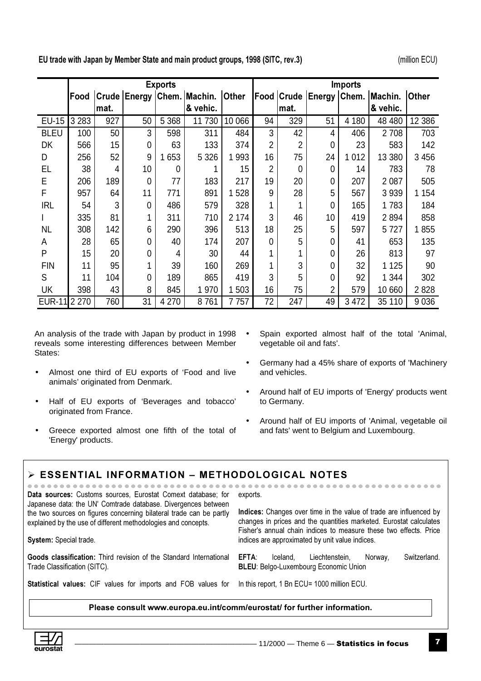(million ECU)

EU trade with Japan by Member State and main product groups, 1998 (SITC, rev.3)

|               |         |      |             | <b>Exports</b> |                                  |              | <b>Imports</b> |                |                         |         |          |              |
|---------------|---------|------|-------------|----------------|----------------------------------|--------------|----------------|----------------|-------------------------|---------|----------|--------------|
|               | Food    |      |             |                | Crude   Energy   Chem.   Machin. | <b>Other</b> |                |                | Food Crude Energy Chem. |         | Machin.  | <b>Other</b> |
|               |         | mat. |             |                | & vehic.                         |              |                | mat.           |                         |         | & vehic. |              |
| <b>EU-15</b>  | 3 2 8 3 | 927  | 50          | 5 3 6 8        | 11 730                           | 10 066       | 94             | 329            | 51                      | 4 180   | 48 480   | 12 386       |
| <b>BLEU</b>   | 100     | 50   | 3           | 598            | 311                              | 484          | 3              | 42             | 4                       | 406     | 2 708    | 703          |
| DK            | 566     | 15   | $\mathbf 0$ | 63             | 133                              | 374          | 2              | $\overline{2}$ | $\Omega$                | 23      | 583      | 142          |
| D             | 256     | 52   | 9           | 1653           | 5 3 2 6                          | 993          | 16             | 75             | 24                      | 1 0 1 2 | 13 380   | 3 4 5 6      |
| EL            | 38      | 4    | 10          | 0              |                                  | 15           | 2              | $\Omega$       | 0                       | 14      | 783      | 78           |
| E             | 206     | 189  | $\mathbf 0$ | 77             | 183                              | 217          | 19             | 20             | 0                       | 207     | 2 0 8 7  | 505          |
| F             | 957     | 64   | 11          | 771            | 891                              | 528          | 9              | 28             | 5                       | 567     | 3 9 3 9  | 1 154        |
| <b>IRL</b>    | 54      | 3    | $\mathbf 0$ | 486            | 579                              | 328          | 1              |                | 0                       | 165     | 1783     | 184          |
|               | 335     | 81   |             | 311            | 710                              | 2 174        | 3              | 46             | 10                      | 419     | 2894     | 858          |
| <b>NL</b>     | 308     | 142  | 6           | 290            | 396                              | 513          | 18             | 25             | 5                       | 597     | 5727     | 855          |
| A             | 28      | 65   | $\Omega$    | 40             | 174                              | 207          | 0              | 5              | 0                       | 41      | 653      | 135          |
| P             | 15      | 20   | $\Omega$    | 4              | 30                               | 44           | 1              |                | 0                       | 26      | 813      | 97           |
| <b>FIN</b>    | 11      | 95   |             | 39             | 160                              | 269          | 1              | 3              | 0                       | 32      | 1 1 2 5  | 90           |
| S             | 11      | 104  | 0           | 189            | 865                              | 419          | 3              | 5              | 0                       | 92      | 1 344    | 302          |
| UK            | 398     | 43   | 8           | 845            | 1970                             | 503          | 16             | 75             | $\overline{2}$          | 579     | 10 660   | 2828         |
| <b>EUR-11</b> | 2 2 7 0 | 760  | 31          | 4 2 7 0        | 8761                             | 7757         | 72             | 247            | 49                      | 3 4 7 2 | 35 110   | 9 0 36       |

An analysis of the trade with Japan by product in 1998 • reveals some interesting differences between Member States:

- Almost one third of EU exports of 'Food and live animals' originated from Denmark.
- Half of EU exports of 'Beverages and tobacco' originated from France.
- Greece exported almost one fifth of the total of 'Energy' products.
- Spain exported almost half of the total 'Animal, vegetable oil and fats'.
- Germany had a 45% share of exports of 'Machinery and vehicles.
- Around half of EU imports of 'Energy' products went to Germany.
- Around half of EU imports of 'Animal, vegetable oil and fats' went to Belgium and Luxembourg.

## $\triangleright$  ESSENTIAL INFORMATION – METHODOLOGICAL NOTES

| Data sources: Customs sources, Eurostat Comext database; for<br>Japanese data: the UN' Comtrade database. Divergences between        | exports.<br>Indices: Changes over time in the value of trade are influenced by<br>changes in prices and the quantities marketed. Eurostat calculates<br>Fisher's annual chain indices to measure these two effects. Price<br>indices are approximated by unit value indices. |  |  |  |  |
|--------------------------------------------------------------------------------------------------------------------------------------|------------------------------------------------------------------------------------------------------------------------------------------------------------------------------------------------------------------------------------------------------------------------------|--|--|--|--|
| the two sources on figures concerning bilateral trade can be partly<br>explained by the use of different methodologies and concepts. |                                                                                                                                                                                                                                                                              |  |  |  |  |
| System: Special trade.                                                                                                               |                                                                                                                                                                                                                                                                              |  |  |  |  |
| Goods classification: Third revision of the Standard International<br>Trade Classification (SITC).                                   | EFTA:<br>Switzerland.<br>Liechtenstein,<br>Iceland.<br>Norway,<br><b>BLEU:</b> Belgo-Luxembourg Economic Union                                                                                                                                                               |  |  |  |  |
| <b>Statistical values:</b> CIF values for imports and FOB values for                                                                 | In this report, 1 Bn ECU= 1000 million ECU.                                                                                                                                                                                                                                  |  |  |  |  |

Please consult www.europa.eu.int/comm/eurostat/ for further information.